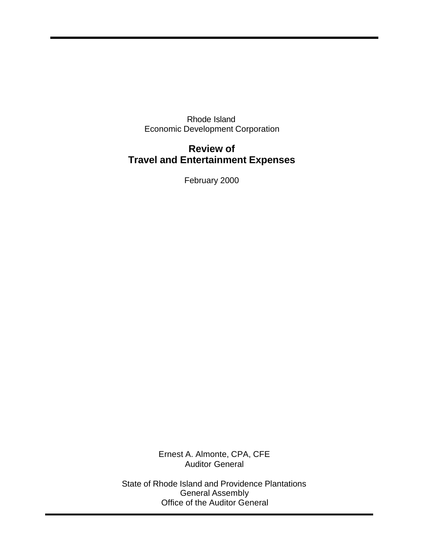Rhode Island Economic Development Corporation

# **Review of Travel and Entertainment Expenses**

February 2000

Ernest A. Almonte, CPA, CFE Auditor General

State of Rhode Island and Providence Plantations General Assembly Office of the Auditor General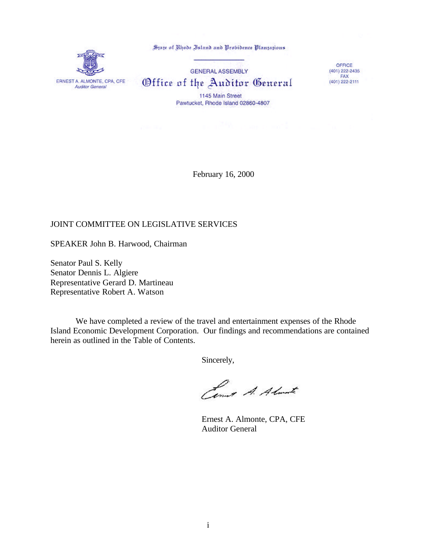State of Rhode Island and Probidence Plantations



**GENERAL ASSEMBLY** Office of the Auditor General 1145 Main Street Pawtucket, Rhode Island 02860-4807

OFFICE  $(401)$  222-2435<br>FAX (401) 222-2111

February 16, 2000

#### JOINT COMMITTEE ON LEGISLATIVE SERVICES

SPEAKER John B. Harwood, Chairman

Senator Paul S. Kelly Senator Dennis L. Algiere Representative Gerard D. Martineau Representative Robert A. Watson

We have completed a review of the travel and entertainment expenses of the Rhode Island Economic Development Corporation. Our findings and recommendations are contained herein as outlined in the Table of Contents.

Sincerely,

Cens A. Almarte

Ernest A. Almonte, CPA, CFE Auditor General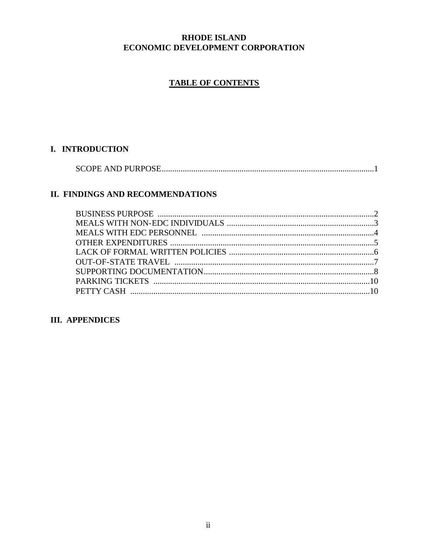## **RHODE ISLAND** ECONOMIC DEVELOPMENT CORPORATION

# **TABLE OF CONTENTS**

## I. INTRODUCTION

# II. FINDINGS AND RECOMMENDATIONS

# **III. APPENDICES**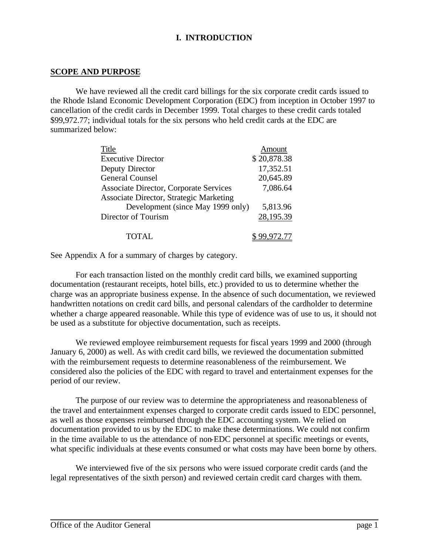# **I. INTRODUCTION**

#### **SCOPE AND PURPOSE**

We have reviewed all the credit card billings for the six corporate credit cards issued to the Rhode Island Economic Development Corporation (EDC) from inception in October 1997 to cancellation of the credit cards in December 1999. Total charges to these credit cards totaled \$99,972.77; individual totals for the six persons who held credit cards at the EDC are summarized below:

| Title                                          | Amount       |
|------------------------------------------------|--------------|
| <b>Executive Director</b>                      | \$20,878.38  |
| Deputy Director                                | 17,352.51    |
| <b>General Counsel</b>                         | 20,645.89    |
| <b>Associate Director, Corporate Services</b>  | 7,086.64     |
| <b>Associate Director, Strategic Marketing</b> |              |
| Development (since May 1999 only)              | 5,813.96     |
| Director of Tourism                            | 28,195.39    |
| TOTAL.                                         | \$ 99,972.77 |

See Appendix A for a summary of charges by category.

For each transaction listed on the monthly credit card bills, we examined supporting documentation (restaurant receipts, hotel bills, etc.) provided to us to determine whether the charge was an appropriate business expense. In the absence of such documentation, we reviewed handwritten notations on credit card bills, and personal calendars of the cardholder to determine whether a charge appeared reasonable. While this type of evidence was of use to us, it should not be used as a substitute for objective documentation, such as receipts.

We reviewed employee reimbursement requests for fiscal years 1999 and 2000 (through January 6, 2000) as well. As with credit card bills, we reviewed the documentation submitted with the reimbursement requests to determine reasonableness of the reimbursement. We considered also the policies of the EDC with regard to travel and entertainment expenses for the period of our review.

The purpose of our review was to determine the appropriateness and reasonableness of the travel and entertainment expenses charged to corporate credit cards issued to EDC personnel, as well as those expenses reimbursed through the EDC accounting system. We relied on documentation provided to us by the EDC to make these determinations. We could not confirm in the time available to us the attendance of non-EDC personnel at specific meetings or events, what specific individuals at these events consumed or what costs may have been borne by others.

We interviewed five of the six persons who were issued corporate credit cards (and the legal representatives of the sixth person) and reviewed certain credit card charges with them.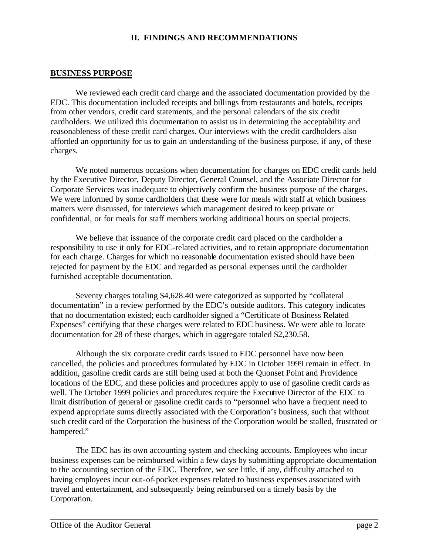#### **II. FINDINGS AND RECOMMENDATIONS**

#### **BUSINESS PURPOSE**

We reviewed each credit card charge and the associated documentation provided by the EDC. This documentation included receipts and billings from restaurants and hotels, receipts from other vendors, credit card statements, and the personal calendars of the six credit cardholders. We utilized this documentation to assist us in determining the acceptability and reasonableness of these credit card charges. Our interviews with the credit cardholders also afforded an opportunity for us to gain an understanding of the business purpose, if any, of these charges.

We noted numerous occasions when documentation for charges on EDC credit cards held by the Executive Director, Deputy Director, General Counsel, and the Associate Director for Corporate Services was inadequate to objectively confirm the business purpose of the charges. We were informed by some cardholders that these were for meals with staff at which business matters were discussed, for interviews which management desired to keep private or confidential, or for meals for staff members working additional hours on special projects.

We believe that issuance of the corporate credit card placed on the cardholder a responsibility to use it only for EDC-related activities, and to retain appropriate documentation for each charge. Charges for which no reasonable documentation existed should have been rejected for payment by the EDC and regarded as personal expenses until the cardholder furnished acceptable documentation.

Seventy charges totaling \$4,628.40 were categorized as supported by "collateral documentation" in a review performed by the EDC's outside auditors. This category indicates that no documentation existed; each cardholder signed a "Certificate of Business Related Expenses" certifying that these charges were related to EDC business. We were able to locate documentation for 28 of these charges, which in aggregate totaled \$2,230.58.

Although the six corporate credit cards issued to EDC personnel have now been cancelled, the policies and procedures formulated by EDC in October 1999 remain in effect. In addition, gasoline credit cards are still being used at both the Quonset Point and Providence locations of the EDC, and these policies and procedures apply to use of gasoline credit cards as well. The October 1999 policies and procedures require the Executive Director of the EDC to limit distribution of general or gasoline credit cards to "personnel who have a frequent need to expend appropriate sums directly associated with the Corporation's business, such that without such credit card of the Corporation the business of the Corporation would be stalled, frustrated or hampered."

The EDC has its own accounting system and checking accounts. Employees who incur business expenses can be reimbursed within a few days by submitting appropriate documentation to the accounting section of the EDC. Therefore, we see little, if any, difficulty attached to having employees incur out-of-pocket expenses related to business expenses associated with travel and entertainment, and subsequently being reimbursed on a timely basis by the Corporation.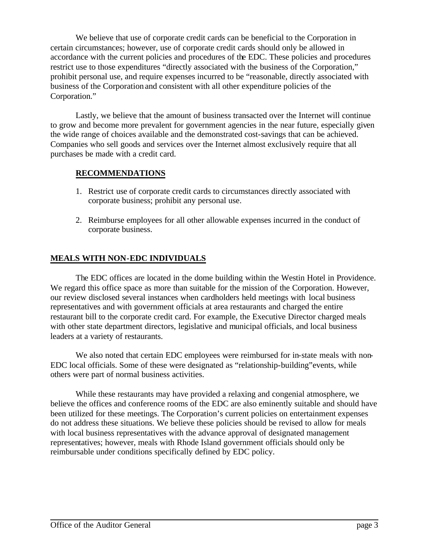We believe that use of corporate credit cards can be beneficial to the Corporation in certain circumstances; however, use of corporate credit cards should only be allowed in accordance with the current policies and procedures of the EDC. These policies and procedures restrict use to those expenditures "directly associated with the business of the Corporation," prohibit personal use, and require expenses incurred to be "reasonable, directly associated with business of the Corporation and consistent with all other expenditure policies of the Corporation."

Lastly, we believe that the amount of business transacted over the Internet will continue to grow and become more prevalent for government agencies in the near future, especially given the wide range of choices available and the demonstrated cost-savings that can be achieved. Companies who sell goods and services over the Internet almost exclusively require that all purchases be made with a credit card.

## **RECOMMENDATIONS**

- 1. Restrict use of corporate credit cards to circumstances directly associated with corporate business; prohibit any personal use.
- 2. Reimburse employees for all other allowable expenses incurred in the conduct of corporate business.

# **MEALS WITH NON-EDC INDIVIDUALS**

The EDC offices are located in the dome building within the Westin Hotel in Providence. We regard this office space as more than suitable for the mission of the Corporation. However, our review disclosed several instances when cardholders held meetings with local business representatives and with government officials at area restaurants and charged the entire restaurant bill to the corporate credit card. For example, the Executive Director charged meals with other state department directors, legislative and municipal officials, and local business leaders at a variety of restaurants.

We also noted that certain EDC employees were reimbursed for in-state meals with non-EDC local officials. Some of these were designated as "relationship-building"events, while others were part of normal business activities.

While these restaurants may have provided a relaxing and congenial atmosphere, we believe the offices and conference rooms of the EDC are also eminently suitable and should have been utilized for these meetings. The Corporation's current policies on entertainment expenses do not address these situations. We believe these policies should be revised to allow for meals with local business representatives with the advance approval of designated management representatives; however, meals with Rhode Island government officials should only be reimbursable under conditions specifically defined by EDC policy.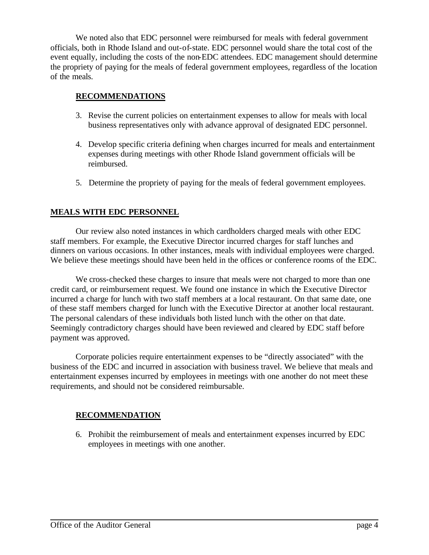We noted also that EDC personnel were reimbursed for meals with federal government officials, both in Rhode Island and out-of-state. EDC personnel would share the total cost of the event equally, including the costs of the non-EDC attendees. EDC management should determine the propriety of paying for the meals of federal government employees, regardless of the location of the meals.

## **RECOMMENDATIONS**

- 3. Revise the current policies on entertainment expenses to allow for meals with local business representatives only with advance approval of designated EDC personnel.
- 4. Develop specific criteria defining when charges incurred for meals and entertainment expenses during meetings with other Rhode Island government officials will be reimbursed.
- 5. Determine the propriety of paying for the meals of federal government employees.

# **MEALS WITH EDC PERSONNEL**

Our review also noted instances in which cardholders charged meals with other EDC staff members. For example, the Executive Director incurred charges for staff lunches and dinners on various occasions. In other instances, meals with individual employees were charged. We believe these meetings should have been held in the offices or conference rooms of the EDC.

We cross-checked these charges to insure that meals were not charged to more than one credit card, or reimbursement request. We found one instance in which the Executive Director incurred a charge for lunch with two staff members at a local restaurant. On that same date, one of these staff members charged for lunch with the Executive Director at another local restaurant. The personal calendars of these individuals both listed lunch with the other on that date. Seemingly contradictory charges should have been reviewed and cleared by EDC staff before payment was approved.

Corporate policies require entertainment expenses to be "directly associated" with the business of the EDC and incurred in association with business travel. We believe that meals and entertainment expenses incurred by employees in meetings with one another do not meet these requirements, and should not be considered reimbursable.

#### **RECOMMENDATION**

6. Prohibit the reimbursement of meals and entertainment expenses incurred by EDC employees in meetings with one another.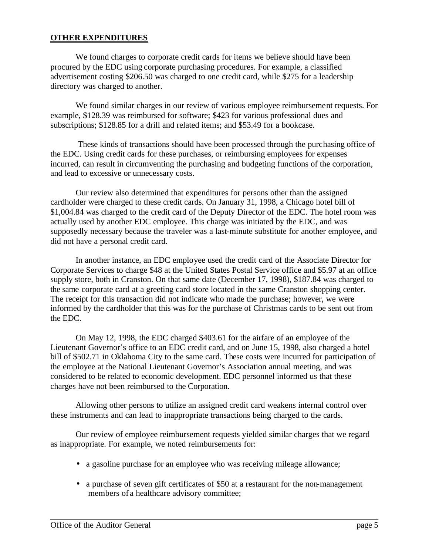#### **OTHER EXPENDITURES**

We found charges to corporate credit cards for items we believe should have been procured by the EDC using corporate purchasing procedures. For example, a classified advertisement costing \$206.50 was charged to one credit card, while \$275 for a leadership directory was charged to another.

We found similar charges in our review of various employee reimbursement requests. For example, \$128.39 was reimbursed for software; \$423 for various professional dues and subscriptions; \$128.85 for a drill and related items; and \$53.49 for a bookcase.

 These kinds of transactions should have been processed through the purchasing office of the EDC. Using credit cards for these purchases, or reimbursing employees for expenses incurred, can result in circumventing the purchasing and budgeting functions of the corporation, and lead to excessive or unnecessary costs.

Our review also determined that expenditures for persons other than the assigned cardholder were charged to these credit cards. On January 31, 1998, a Chicago hotel bill of \$1,004.84 was charged to the credit card of the Deputy Director of the EDC. The hotel room was actually used by another EDC employee. This charge was initiated by the EDC, and was supposedly necessary because the traveler was a last-minute substitute for another employee, and did not have a personal credit card.

In another instance, an EDC employee used the credit card of the Associate Director for Corporate Services to charge \$48 at the United States Postal Service office and \$5.97 at an office supply store, both in Cranston. On that same date (December 17, 1998), \$187.84 was charged to the same corporate card at a greeting card store located in the same Cranston shopping center. The receipt for this transaction did not indicate who made the purchase; however, we were informed by the cardholder that this was for the purchase of Christmas cards to be sent out from the EDC.

On May 12, 1998, the EDC charged \$403.61 for the airfare of an employee of the Lieutenant Governor's office to an EDC credit card, and on June 15, 1998, also charged a hotel bill of \$502.71 in Oklahoma City to the same card. These costs were incurred for participation of the employee at the National Lieutenant Governor's Association annual meeting, and was considered to be related to economic development. EDC personnel informed us that these charges have not been reimbursed to the Corporation.

Allowing other persons to utilize an assigned credit card weakens internal control over these instruments and can lead to inappropriate transactions being charged to the cards.

Our review of employee reimbursement requests yielded similar charges that we regard as inappropriate. For example, we noted reimbursements for:

- a gasoline purchase for an employee who was receiving mileage allowance;
- a purchase of seven gift certificates of \$50 at a restaurant for the non-management members of a healthcare advisory committee;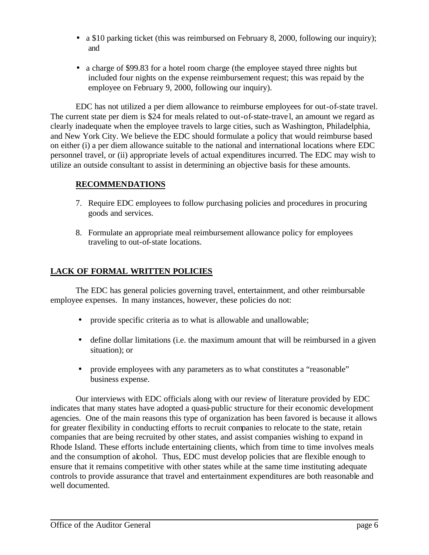- a \$10 parking ticket (this was reimbursed on February 8, 2000, following our inquiry); and
- a charge of \$99.83 for a hotel room charge (the employee stayed three nights but included four nights on the expense reimbursement request; this was repaid by the employee on February 9, 2000, following our inquiry).

EDC has not utilized a per diem allowance to reimburse employees for out-of-state travel. The current state per diem is \$24 for meals related to out-of-state-trave l, an amount we regard as clearly inadequate when the employee travels to large cities, such as Washington, Philadelphia, and New York City. We believe the EDC should formulate a policy that would reimburse based on either (i) a per diem allowance suitable to the national and international locations where EDC personnel travel, or (ii) appropriate levels of actual expenditures incurred. The EDC may wish to utilize an outside consultant to assist in determining an objective basis for these amounts.

## **RECOMMENDATIONS**

- 7. Require EDC employees to follow purchasing policies and procedures in procuring goods and services.
- 8. Formulate an appropriate meal reimbursement allowance policy for employees traveling to out-of-state locations.

# **LACK OF FORMAL WRITTEN POLICIES**

The EDC has general policies governing travel, entertainment, and other reimbursable employee expenses. In many instances, however, these policies do not:

- provide specific criteria as to what is allowable and unallowable;
- define dollar limitations (i.e. the maximum amount that will be reimbursed in a given situation); or
- provide employees with any parameters as to what constitutes a "reasonable" business expense.

Our interviews with EDC officials along with our review of literature provided by EDC indicates that many states have adopted a quasi-public structure for their economic development agencies. One of the main reasons this type of organization has been favored is because it allows for greater flexibility in conducting efforts to recruit companies to relocate to the state, retain companies that are being recruited by other states, and assist companies wishing to expand in Rhode Island. These efforts include entertaining clients, which from time to time involves meals and the consumption of alcohol. Thus, EDC must develop policies that are flexible enough to ensure that it remains competitive with other states while at the same time instituting adequate controls to provide assurance that travel and entertainment expenditures are both reasonable and well documented.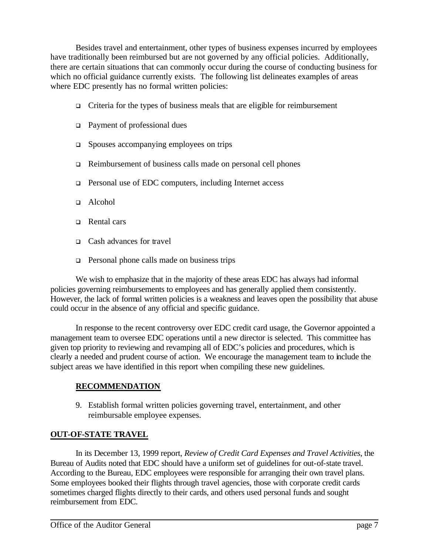Besides travel and entertainment, other types of business expenses incurred by employees have traditionally been reimbursed but are not governed by any official policies. Additionally, there are certain situations that can commonly occur during the course of conducting business for which no official guidance currently exists. The following list delineates examples of areas where EDC presently has no formal written policies:

- $\Box$  Criteria for the types of business meals that are eligible for reimbursement
- $\Box$  Payment of professional dues
- $\Box$  Spouses accompanying employees on trips
- <sup>q</sup> Reimbursement of business calls made on personal cell phones
- <sup>q</sup> Personal use of EDC computers, including Internet access
- $\Box$  Alcohol
- <sup>q</sup> Rental cars
- □ Cash advances for travel
- $\Box$  Personal phone calls made on business trips

We wish to emphasize that in the majority of these areas EDC has always had informal policies governing reimbursements to employees and has generally applied them consistently. However, the lack of formal written policies is a weakness and leaves open the possibility that abuse could occur in the absence of any official and specific guidance.

In response to the recent controversy over EDC credit card usage, the Governor appointed a management team to oversee EDC operations until a new director is selected. This committee has given top priority to reviewing and revamping all of EDC's policies and procedures, which is clearly a needed and prudent course of action. We encourage the management team to include the subject areas we have identified in this report when compiling these new guidelines.

## **RECOMMENDATION**

9. Establish formal written policies governing travel, entertainment, and other reimbursable employee expenses.

## **OUT-OF-STATE TRAVEL**

In its December 13, 1999 report, *Review of Credit Card Expenses and Travel Activities*, the Bureau of Audits noted that EDC should have a uniform set of guidelines for out-of-state travel. According to the Bureau, EDC employees were responsible for arranging their own travel plans. Some employees booked their flights through travel agencies, those with corporate credit cards sometimes charged flights directly to their cards, and others used personal funds and sought reimbursement from EDC.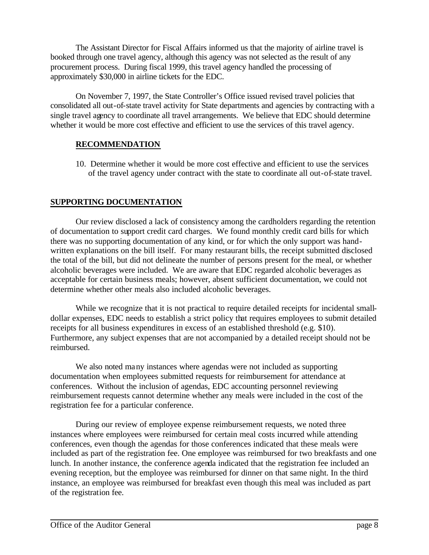The Assistant Director for Fiscal Affairs informed us that the majority of airline travel is booked through one travel agency, although this agency was not selected as the result of any procurement process. During fiscal 1999, this travel agency handled the processing of approximately \$30,000 in airline tickets for the EDC.

On November 7, 1997, the State Controller's Office issued revised travel policies that consolidated all out-of-state travel activity for State departments and agencies by contracting with a single travel agency to coordinate all travel arrangements. We believe that EDC should determine whether it would be more cost effective and efficient to use the services of this travel agency.

# **RECOMMENDATION**

10. Determine whether it would be more cost effective and efficient to use the services of the travel agency under contract with the state to coordinate all out-of-state travel.

# **SUPPORTING DOCUMENTATION**

Our review disclosed a lack of consistency among the cardholders regarding the retention of documentation to support credit card charges. We found monthly credit card bills for which there was no supporting documentation of any kind, or for which the only support was handwritten explanations on the bill itself. For many restaurant bills, the receipt submitted disclosed the total of the bill, but did not delineate the number of persons present for the meal, or whether alcoholic beverages were included. We are aware that EDC regarded alcoholic beverages as acceptable for certain business meals; however, absent sufficient documentation, we could not determine whether other meals also included alcoholic beverages.

While we recognize that it is not practical to require detailed receipts for incidental smalldollar expenses, EDC needs to establish a strict policy that requires employees to submit detailed receipts for all business expenditures in excess of an established threshold (e.g. \$10). Furthermore, any subject expenses that are not accompanied by a detailed receipt should not be reimbursed.

We also noted many instances where agendas were not included as supporting documentation when employees submitted requests for reimbursement for attendance at conferences. Without the inclusion of agendas, EDC accounting personnel reviewing reimbursement requests cannot determine whether any meals were included in the cost of the registration fee for a particular conference.

During our review of employee expense reimbursement requests, we noted three instances where employees were reimbursed for certain meal costs incurred while attending conferences, even though the agendas for those conferences indicated that these meals were included as part of the registration fee. One employee was reimbursed for two breakfasts and one lunch. In another instance, the conference agenda indicated that the registration fee included an evening reception, but the employee was reimbursed for dinner on that same night. In the third instance, an employee was reimbursed for breakfast even though this meal was included as part of the registration fee.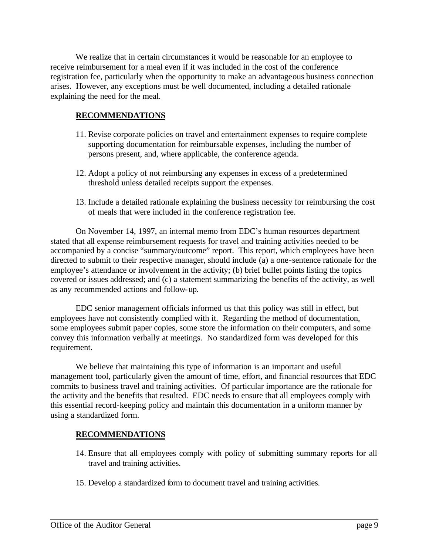We realize that in certain circumstances it would be reasonable for an employee to receive reimbursement for a meal even if it was included in the cost of the conference registration fee, particularly when the opportunity to make an advantageous business connection arises. However, any exceptions must be well documented, including a detailed rationale explaining the need for the meal.

#### **RECOMMENDATIONS**

- 11. Revise corporate policies on travel and entertainment expenses to require complete supporting documentation for reimbursable expenses, including the number of persons present, and, where applicable, the conference agenda.
- 12. Adopt a policy of not reimbursing any expenses in excess of a predetermined threshold unless detailed receipts support the expenses.
- 13. Include a detailed rationale explaining the business necessity for reimbursing the cost of meals that were included in the conference registration fee.

On November 14, 1997, an internal memo from EDC's human resources department stated that all expense reimbursement requests for travel and training activities needed to be accompanied by a concise "summary/outcome" report. This report, which employees have been directed to submit to their respective manager, should include (a) a one-sentence rationale for the employee's attendance or involvement in the activity; (b) brief bullet points listing the topics covered or issues addressed; and (c) a statement summarizing the benefits of the activity, as well as any recommended actions and follow-up.

EDC senior management officials informed us that this policy was still in effect, but employees have not consistently complied with it. Regarding the method of documentation, some employees submit paper copies, some store the information on their computers, and some convey this information verbally at meetings. No standardized form was developed for this requirement.

We believe that maintaining this type of information is an important and useful management tool, particularly given the amount of time, effort, and financial resources that EDC commits to business travel and training activities. Of particular importance are the rationale for the activity and the benefits that resulted. EDC needs to ensure that all employees comply with this essential record-keeping policy and maintain this documentation in a uniform manner by using a standardized form.

## **RECOMMENDATIONS**

- 14. Ensure that all employees comply with policy of submitting summary reports for all travel and training activities.
- 15. Develop a standardized form to document travel and training activities.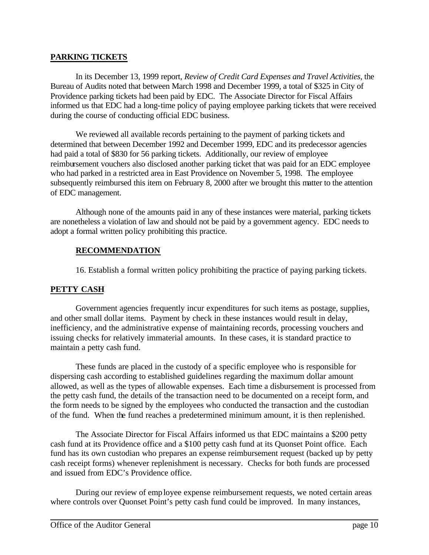#### **PARKING TICKETS**

In its December 13, 1999 report, *Review of Credit Card Expenses and Travel Activities*, the Bureau of Audits noted that between March 1998 and December 1999, a total of \$325 in City of Providence parking tickets had been paid by EDC. The Associate Director for Fiscal Affairs informed us that EDC had a long-time policy of paying employee parking tickets that were received during the course of conducting official EDC business.

We reviewed all available records pertaining to the payment of parking tickets and determined that between December 1992 and December 1999, EDC and its predecessor agencies had paid a total of \$830 for 56 parking tickets. Additionally, our review of employee reimbursement vouchers also disclosed another parking ticket that was paid for an EDC employee who had parked in a restricted area in East Providence on November 5, 1998. The employee subsequently reimbursed this item on February 8, 2000 after we brought this matter to the attention of EDC management.

Although none of the amounts paid in any of these instances were material, parking tickets are nonetheless a violation of law and should not be paid by a government agency. EDC needs to adopt a formal written policy prohibiting this practice.

# **RECOMMENDATION**

16. Establish a formal written policy prohibiting the practice of paying parking tickets.

## **PETTY CASH**

Government agencies frequently incur expenditures for such items as postage, supplies, and other small dollar items. Payment by check in these instances would result in delay, inefficiency, and the administrative expense of maintaining records, processing vouchers and issuing checks for relatively immaterial amounts. In these cases, it is standard practice to maintain a petty cash fund.

These funds are placed in the custody of a specific employee who is responsible for dispersing cash according to established guidelines regarding the maximum dollar amount allowed, as well as the types of allowable expenses. Each time a disbursement is processed from the petty cash fund, the details of the transaction need to be documented on a receipt form, and the form needs to be signed by the employees who conducted the transaction and the custodian of the fund. When the fund reaches a predetermined minimum amount, it is then replenished.

The Associate Director for Fiscal Affairs informed us that EDC maintains a \$200 petty cash fund at its Providence office and a \$100 petty cash fund at its Quonset Point office. Each fund has its own custodian who prepares an expense reimbursement request (backed up by petty cash receipt forms) whenever replenishment is necessary. Checks for both funds are processed and issued from EDC's Providence office.

During our review of employee expense reimbursement requests, we noted certain areas where controls over Quonset Point's petty cash fund could be improved. In many instances,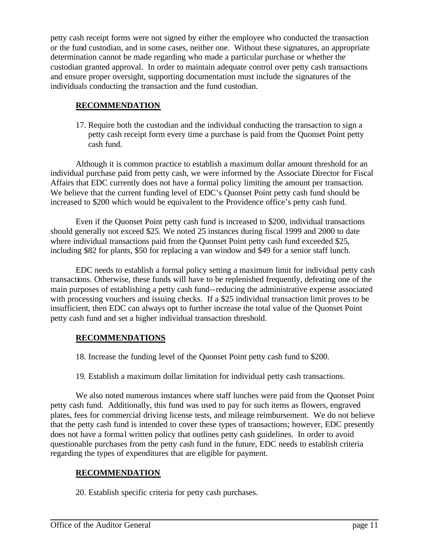petty cash receipt forms were not signed by either the employee who conducted the transaction or the fund custodian, and in some cases, neither one. Without these signatures, an appropriate determination cannot be made regarding who made a particular purchase or whether the custodian granted approval. In order to maintain adequate control over petty cash transactions and ensure proper oversight, supporting documentation must include the signatures of the individuals conducting the transaction and the fund custodian.

## **RECOMMENDATION**

17. Require both the custodian and the individual conducting the transaction to sign a petty cash receipt form every time a purchase is paid from the Quonset Point petty cash fund.

Although it is common practice to establish a maximum dollar amount threshold for an individual purchase paid from petty cash, we were informed by the Associate Director for Fiscal Affairs that EDC currently does not have a formal policy limiting the amount per transaction. We believe that the current funding level of EDC's Quonset Point petty cash fund should be increased to \$200 which would be equivalent to the Providence office's petty cash fund.

Even if the Quonset Point petty cash fund is increased to \$200, individual transactions should generally not exceed \$25. We noted 25 instances during fiscal 1999 and 2000 to date where individual transactions paid from the Quonset Point petty cash fund exceeded \$25, including \$82 for plants, \$50 for replacing a van window and \$49 for a senior staff lunch.

EDC needs to establish a formal policy setting a maximum limit for individual petty cash transactions. Otherwise, these funds will have to be replenished frequently, defeating one of the main purposes of establishing a petty cash fund--reducing the administrative expense associated with processing vouchers and issuing checks. If a \$25 individual transaction limit proves to be insufficient, then EDC can always opt to further increase the total value of the Quonset Point petty cash fund and set a higher individual transaction threshold.

## **RECOMMENDATIONS**

18. Increase the funding level of the Quonset Point petty cash fund to \$200.

19. Establish a maximum dollar limitation for individual petty cash transactions.

We also noted numerous instances where staff lunches were paid from the Quonset Point petty cash fund. Additionally, this fund was used to pay for such items as flowers, engraved plates, fees for commercial driving license tests, and mileage reimbursement. We do not believe that the petty cash fund is intended to cover these types of transactions; however, EDC presently does not have a formal written policy that outlines petty cash guidelines. In order to avoid questionable purchases from the petty cash fund in the future, EDC needs to establish criteria regarding the types of expenditures that are eligible for payment.

## **RECOMMENDATION**

20. Establish specific criteria for petty cash purchases.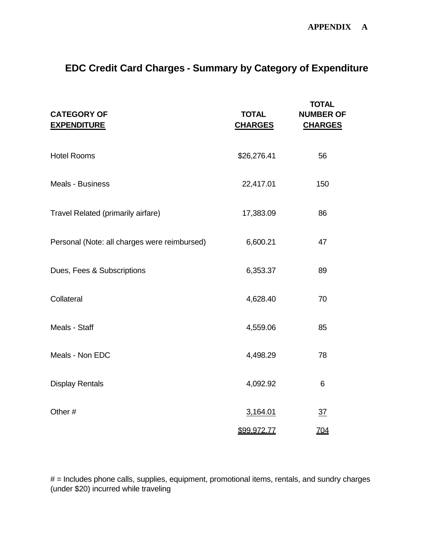# **EDC Credit Card Charges - Summary by Category of Expenditure**

| <b>CATEGORY OF</b><br><b>EXPENDITURE</b>     | <b>TOTAL</b><br><b>CHARGES</b> | <b>TOTAL</b><br><b>NUMBER OF</b><br><b>CHARGES</b> |
|----------------------------------------------|--------------------------------|----------------------------------------------------|
| <b>Hotel Rooms</b>                           | \$26,276.41                    | 56                                                 |
| <b>Meals - Business</b>                      | 22,417.01                      | 150                                                |
| Travel Related (primarily airfare)           | 17,383.09                      | 86                                                 |
| Personal (Note: all charges were reimbursed) | 6,600.21                       | 47                                                 |
| Dues, Fees & Subscriptions                   | 6,353.37                       | 89                                                 |
| Collateral                                   | 4,628.40                       | 70                                                 |
| Meals - Staff                                | 4,559.06                       | 85                                                 |
| Meals - Non EDC                              | 4,498.29                       | 78                                                 |
| <b>Display Rentals</b>                       | 4,092.92                       | 6                                                  |
| Other#                                       | 3,164.01                       | $\overline{37}$                                    |
|                                              | \$99,972.77                    | 704                                                |

# = Includes phone calls, supplies, equipment, promotional items, rentals, and sundry charges (under \$20) incurred while traveling